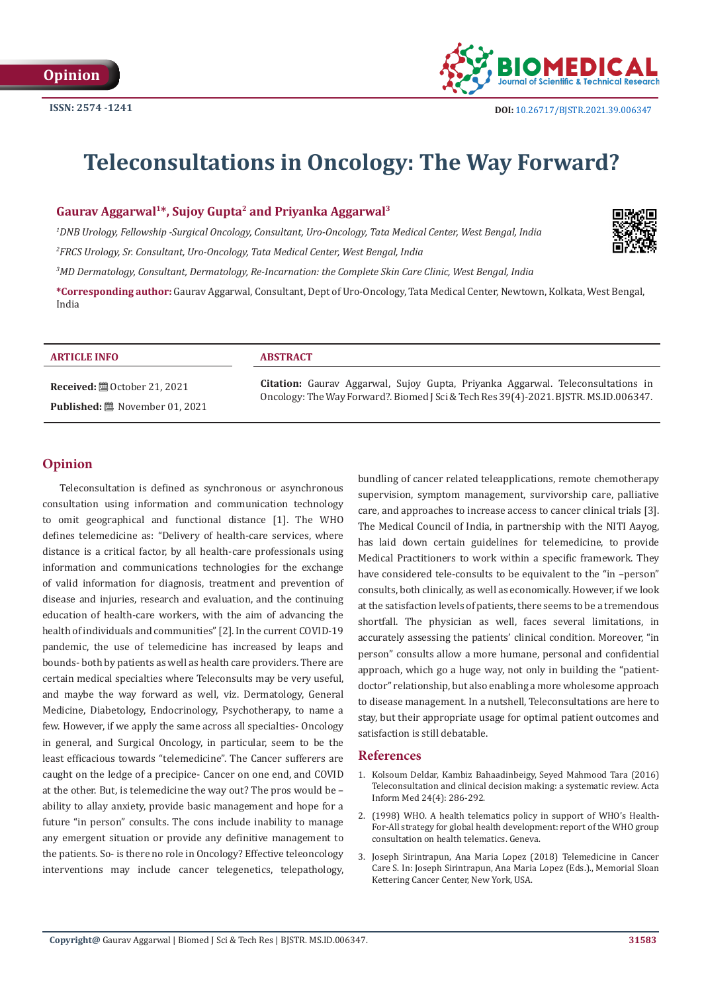

# **Teleconsultations in Oncology: The Way Forward?**

## **Gaurav Aggarwal1\*, Sujoy Gupta2 and Priyanka Aggarwal3**

*1 DNB Urology, Fellowship -Surgical Oncology, Consultant, Uro-Oncology, Tata Medical Center, West Bengal, India*

*2 FRCS Urology, Sr. Consultant, Uro-Oncology, Tata Medical Center, West Bengal, India*

*3 MD Dermatology, Consultant, Dermatology, Re-Incarnation: the Complete Skin Care Clinic, West Bengal, India*

**\*Corresponding author:** Gaurav Aggarwal, Consultant, Dept of Uro-Oncology, Tata Medical Center, Newtown, Kolkata, West Bengal, India

#### **ARTICLE INFO ABSTRACT**

**Received:** ■ October 21, 2021 Published: 圖 November 01, 2021

**Citation:** Gaurav Aggarwal, Sujoy Gupta, Priyanka Aggarwal. Teleconsultations in Oncology: The Way Forward?. Biomed J Sci & Tech Res 39(4)-2021. BJSTR. MS.ID.006347.

#### **Opinion**

Teleconsultation is defined as synchronous or asynchronous consultation using information and communication technology to omit geographical and functional distance [1]. The WHO defines telemedicine as: "Delivery of health-care services, where distance is a critical factor, by all health-care professionals using information and communications technologies for the exchange of valid information for diagnosis, treatment and prevention of disease and injuries, research and evaluation, and the continuing education of health-care workers, with the aim of advancing the health of individuals and communities" [2]. In the current COVID-19 pandemic, the use of telemedicine has increased by leaps and bounds- both by patients as well as health care providers. There are certain medical specialties where Teleconsults may be very useful, and maybe the way forward as well, viz. Dermatology, General Medicine, Diabetology, Endocrinology, Psychotherapy, to name a few. However, if we apply the same across all specialties- Oncology in general, and Surgical Oncology, in particular, seem to be the least efficacious towards "telemedicine". The Cancer sufferers are caught on the ledge of a precipice- Cancer on one end, and COVID at the other. But, is telemedicine the way out? The pros would be – ability to allay anxiety, provide basic management and hope for a future "in person" consults. The cons include inability to manage any emergent situation or provide any definitive management to the patients. So- is there no role in Oncology? Effective teleoncology interventions may include cancer telegenetics, telepathology,

bundling of cancer related teleapplications, remote chemotherapy supervision, symptom management, survivorship care, palliative care, and approaches to increase access to cancer clinical trials [3]. The Medical Council of India, in partnership with the NITI Aayog, has laid down certain guidelines for telemedicine, to provide Medical Practitioners to work within a specific framework. They have considered tele-consults to be equivalent to the "in -person" consults, both clinically, as well as economically. However, if we look at the satisfaction levels of patients, there seems to be a tremendous shortfall. The physician as well, faces several limitations, in accurately assessing the patients' clinical condition. Moreover, "in person" consults allow a more humane, personal and confidential approach, which go a huge way, not only in building the "patientdoctor" relationship, but also enabling a more wholesome approach to disease management. In a nutshell, Teleconsultations are here to stay, but their appropriate usage for optimal patient outcomes and satisfaction is still debatable.

#### **References**

- 1. [Kolsoum Deldar, Kambiz Bahaadinbeigy, Seyed Mahmood Tara \(2016\)](https://pubmed.ncbi.nlm.nih.gov/27708494/) [Teleconsultation and clinical decision making: a systematic review. Acta](https://pubmed.ncbi.nlm.nih.gov/27708494/) [Inform Med 24\(4\): 286-292.](https://pubmed.ncbi.nlm.nih.gov/27708494/)
- 2. [\(1998\) WHO. A health telematics policy in support of WHO's Health-](https://apps.who.int/iris/handle/10665/63857)[For-All strategy for global health development: report of the WHO group](https://apps.who.int/iris/handle/10665/63857) [consultation on health telematics. Geneva.](https://apps.who.int/iris/handle/10665/63857)
- 3. [Joseph Sirintrapun, Ana Maria Lopez \(2018\) Telemedicine in Cancer](https://meetinglibrary.asco.org/collections/edbook/2018%20ASCO%20Educational%20Book) [Care S. In: Joseph Sirintrapun, Ana Maria Lopez \(Eds.\)., Memorial Sloan](https://meetinglibrary.asco.org/collections/edbook/2018%20ASCO%20Educational%20Book) [Kettering Cancer Center, New York, USA.](https://meetinglibrary.asco.org/collections/edbook/2018%20ASCO%20Educational%20Book)